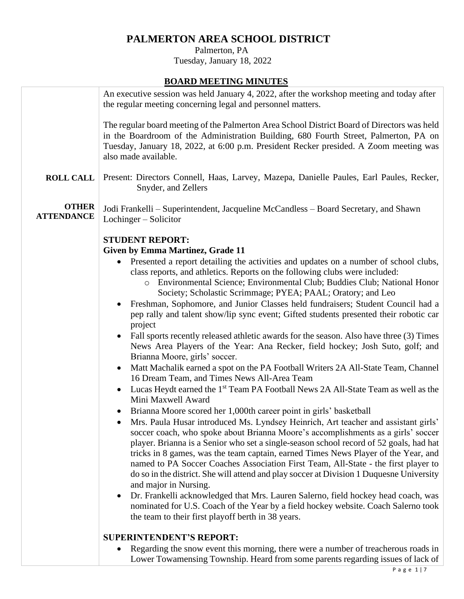## **PALMERTON AREA SCHOOL DISTRICT**

 Palmerton, PA Tuesday, January 18, 2022

## **BOARD MEETING MINUTES**

|                                   | <u> Donno Millino Mino I Do</u>                                                                                                                                                                                                                                                                                                                                                                                                                                                                                                                                   |
|-----------------------------------|-------------------------------------------------------------------------------------------------------------------------------------------------------------------------------------------------------------------------------------------------------------------------------------------------------------------------------------------------------------------------------------------------------------------------------------------------------------------------------------------------------------------------------------------------------------------|
|                                   | An executive session was held January 4, 2022, after the workshop meeting and today after<br>the regular meeting concerning legal and personnel matters.                                                                                                                                                                                                                                                                                                                                                                                                          |
|                                   | The regular board meeting of the Palmerton Area School District Board of Directors was held<br>in the Boardroom of the Administration Building, 680 Fourth Street, Palmerton, PA on<br>Tuesday, January 18, 2022, at 6:00 p.m. President Recker presided. A Zoom meeting was<br>also made available.                                                                                                                                                                                                                                                              |
| <b>ROLL CALL</b>                  | Present: Directors Connell, Haas, Larvey, Mazepa, Danielle Paules, Earl Paules, Recker,<br>Snyder, and Zellers                                                                                                                                                                                                                                                                                                                                                                                                                                                    |
| <b>OTHER</b><br><b>ATTENDANCE</b> | Jodi Frankelli – Superintendent, Jacqueline McCandless – Board Secretary, and Shawn<br>Lochinger – Solicitor                                                                                                                                                                                                                                                                                                                                                                                                                                                      |
|                                   | <b>STUDENT REPORT:</b>                                                                                                                                                                                                                                                                                                                                                                                                                                                                                                                                            |
|                                   | <b>Given by Emma Martinez, Grade 11</b>                                                                                                                                                                                                                                                                                                                                                                                                                                                                                                                           |
|                                   | Presented a report detailing the activities and updates on a number of school clubs,<br>class reports, and athletics. Reports on the following clubs were included:                                                                                                                                                                                                                                                                                                                                                                                               |
|                                   | o Environmental Science; Environmental Club; Buddies Club; National Honor<br>Society; Scholastic Scrimmage; PYEA; PAAL; Oratory; and Leo                                                                                                                                                                                                                                                                                                                                                                                                                          |
|                                   | Freshman, Sophomore, and Junior Classes held fundraisers; Student Council had a                                                                                                                                                                                                                                                                                                                                                                                                                                                                                   |
|                                   | pep rally and talent show/lip sync event; Gifted students presented their robotic car<br>project                                                                                                                                                                                                                                                                                                                                                                                                                                                                  |
|                                   | Fall sports recently released at hetic awards for the season. Also have three (3) Times<br>$\bullet$<br>News Area Players of the Year: Ana Recker, field hockey; Josh Suto, golf; and<br>Brianna Moore, girls' soccer.                                                                                                                                                                                                                                                                                                                                            |
|                                   | Matt Machalik earned a spot on the PA Football Writers 2A All-State Team, Channel<br>$\bullet$<br>16 Dream Team, and Times News All-Area Team                                                                                                                                                                                                                                                                                                                                                                                                                     |
|                                   | Lucas Heydt earned the 1 <sup>st</sup> Team PA Football News 2A All-State Team as well as the<br>٠<br>Mini Maxwell Award                                                                                                                                                                                                                                                                                                                                                                                                                                          |
|                                   | Brianna Moore scored her 1,000th career point in girls' basketball                                                                                                                                                                                                                                                                                                                                                                                                                                                                                                |
|                                   | Mrs. Paula Husar introduced Ms. Lyndsey Heinrich, Art teacher and assistant girls'<br>soccer coach, who spoke about Brianna Moore's accomplishments as a girls' soccer<br>player. Brianna is a Senior who set a single-season school record of 52 goals, had hat<br>tricks in 8 games, was the team captain, earned Times News Player of the Year, and<br>named to PA Soccer Coaches Association First Team, All-State - the first player to<br>do so in the district. She will attend and play soccer at Division 1 Duquesne University<br>and major in Nursing. |
|                                   | Dr. Frankelli acknowledged that Mrs. Lauren Salerno, field hockey head coach, was<br>$\bullet$<br>nominated for U.S. Coach of the Year by a field hockey website. Coach Salerno took<br>the team to their first playoff berth in 38 years.                                                                                                                                                                                                                                                                                                                        |
|                                   | <b>SUPERINTENDENT'S REPORT:</b>                                                                                                                                                                                                                                                                                                                                                                                                                                                                                                                                   |
|                                   | Regarding the snow event this morning, there were a number of treacherous roads in<br>$\bullet$                                                                                                                                                                                                                                                                                                                                                                                                                                                                   |

Lower Towamensing Township. Heard from some parents regarding issues of lack of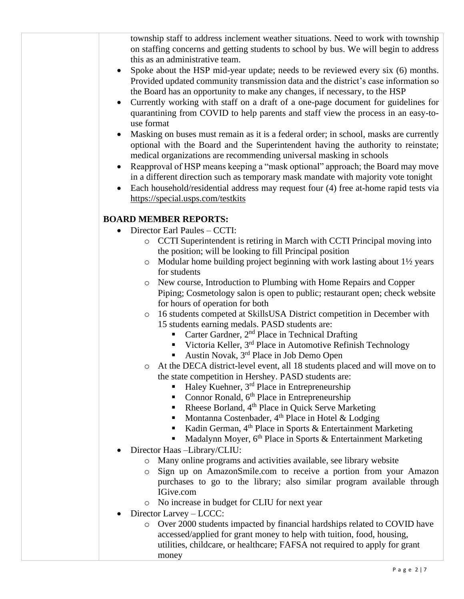township staff to address inclement weather situations. Need to work with township on staffing concerns and getting students to school by bus. We will begin to address this as an administrative team.

- Spoke about the HSP mid-year update; needs to be reviewed every six (6) months. Provided updated community transmission data and the district's case information so the Board has an opportunity to make any changes, if necessary, to the HSP
- Currently working with staff on a draft of a one-page document for guidelines for quarantining from COVID to help parents and staff view the process in an easy-touse format
- Masking on buses must remain as it is a federal order; in school, masks are currently optional with the Board and the Superintendent having the authority to reinstate; medical organizations are recommending universal masking in schools
- Reapproval of HSP means keeping a "mask optional" approach; the Board may move in a different direction such as temporary mask mandate with majority vote tonight
- Each household/residential address may request four (4) free at-home rapid tests via https://special.usps.com/testkits

## **BOARD MEMBER REPORTS:**

- Director Earl Paules CCTI:
	- o CCTI Superintendent is retiring in March with CCTI Principal moving into the position; will be looking to fill Principal position
	- o Modular home building project beginning with work lasting about 1½ years for students
	- o New course, Introduction to Plumbing with Home Repairs and Copper Piping; Cosmetology salon is open to public; restaurant open; check website for hours of operation for both
	- o 16 students competed at SkillsUSA District competition in December with 15 students earning medals. PASD students are:
		- Carter Gardner,  $2<sup>nd</sup>$  Place in Technical Drafting
		- Victoria Keller, 3<sup>rd</sup> Place in Automotive Refinish Technology
		- Austin Novak, 3<sup>rd</sup> Place in Job Demo Open
	- o At the DECA district-level event, all 18 students placed and will move on to the state competition in Hershey. PASD students are:
		- Haley Kuehner, 3<sup>rd</sup> Place in Entrepreneurship
		- Connor Ronald, 6<sup>th</sup> Place in Entrepreneurship
		- Rheese Borland, 4<sup>th</sup> Place in Quick Serve Marketing
		- Montanna Costenbader,  $4<sup>th</sup>$  Place in Hotel & Lodging
		- Kadin German,  $4<sup>th</sup>$  Place in Sports & Entertainment Marketing
		- Madalynn Moyer,  $6<sup>th</sup>$  Place in Sports & Entertainment Marketing
- Director Haas –Library/CLIU:
	- o Many online programs and activities available, see library website
	- o Sign up on AmazonSmile.com to receive a portion from your Amazon purchases to go to the library; also similar program available through IGive.com
	- o No increase in budget for CLIU for next year
- Director Larvey LCCC:
	- o Over 2000 students impacted by financial hardships related to COVID have accessed/applied for grant money to help with tuition, food, housing, utilities, childcare, or healthcare; FAFSA not required to apply for grant money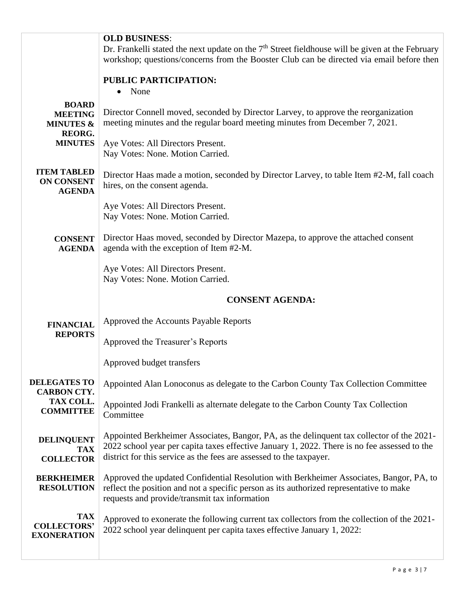|                                                          | <b>OLD BUSINESS:</b><br>Dr. Frankelli stated the next update on the $7th$ Street fieldhouse will be given at the February<br>workshop; questions/concerns from the Booster Club can be directed via email before then                                            |
|----------------------------------------------------------|------------------------------------------------------------------------------------------------------------------------------------------------------------------------------------------------------------------------------------------------------------------|
|                                                          | PUBLIC PARTICIPATION:<br>None<br>$\bullet$                                                                                                                                                                                                                       |
| <b>BOARD</b><br><b>MEETING</b><br><b>MINUTES &amp;</b>   | Director Connell moved, seconded by Director Larvey, to approve the reorganization<br>meeting minutes and the regular board meeting minutes from December 7, 2021.                                                                                               |
| <b>REORG.</b><br><b>MINUTES</b>                          | Aye Votes: All Directors Present.<br>Nay Votes: None. Motion Carried.                                                                                                                                                                                            |
| <b>ITEM TABLED</b><br><b>ON CONSENT</b><br><b>AGENDA</b> | Director Haas made a motion, seconded by Director Larvey, to table Item #2-M, fall coach<br>hires, on the consent agenda.                                                                                                                                        |
|                                                          | Aye Votes: All Directors Present.<br>Nay Votes: None. Motion Carried.                                                                                                                                                                                            |
| <b>CONSENT</b><br><b>AGENDA</b>                          | Director Haas moved, seconded by Director Mazepa, to approve the attached consent<br>agenda with the exception of Item #2-M.                                                                                                                                     |
|                                                          | Aye Votes: All Directors Present.<br>Nay Votes: None. Motion Carried.                                                                                                                                                                                            |
|                                                          |                                                                                                                                                                                                                                                                  |
|                                                          | <b>CONSENT AGENDA:</b>                                                                                                                                                                                                                                           |
| <b>FINANCIAL</b>                                         | Approved the Accounts Payable Reports                                                                                                                                                                                                                            |
| <b>REPORTS</b>                                           | Approved the Treasurer's Reports                                                                                                                                                                                                                                 |
|                                                          | Approved budget transfers                                                                                                                                                                                                                                        |
| <b>DELEGATES TO</b><br><b>CARBON CTY.</b>                | Appointed Alan Lonoconus as delegate to the Carbon County Tax Collection Committee                                                                                                                                                                               |
| TAX COLL.<br><b>COMMITTEE</b>                            | Appointed Jodi Frankelli as alternate delegate to the Carbon County Tax Collection<br>Committee                                                                                                                                                                  |
| <b>DELINQUENT</b><br><b>TAX</b><br><b>COLLECTOR</b>      | Appointed Berkheimer Associates, Bangor, PA, as the delinquent tax collector of the 2021-<br>2022 school year per capita taxes effective January 1, 2022. There is no fee assessed to the<br>district for this service as the fees are assessed to the taxpayer. |
| <b>BERKHEIMER</b><br><b>RESOLUTION</b>                   | Approved the updated Confidential Resolution with Berkheimer Associates, Bangor, PA, to<br>reflect the position and not a specific person as its authorized representative to make<br>requests and provide/transmit tax information                              |
| <b>TAX</b><br><b>COLLECTORS'</b><br><b>EXONERATION</b>   | Approved to exonerate the following current tax collectors from the collection of the 2021-<br>2022 school year delinquent per capita taxes effective January 1, 2022:                                                                                           |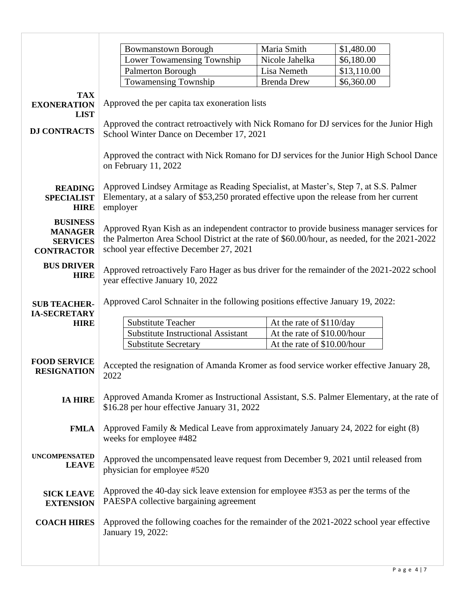|                                                                           | <b>Bowmanstown Borough</b>                                                                                                                                                                                                          | Maria Smith                   | \$1,480.00                |  |
|---------------------------------------------------------------------------|-------------------------------------------------------------------------------------------------------------------------------------------------------------------------------------------------------------------------------------|-------------------------------|---------------------------|--|
|                                                                           | <b>Lower Towamensing Township</b>                                                                                                                                                                                                   | Nicole Jahelka<br>Lisa Nemeth | \$6,180.00                |  |
|                                                                           | Palmerton Borough<br><b>Towamensing Township</b>                                                                                                                                                                                    | <b>Brenda Drew</b>            | \$13,110.00<br>\$6,360.00 |  |
|                                                                           |                                                                                                                                                                                                                                     |                               |                           |  |
| <b>TAX</b><br><b>EXONERATION</b>                                          | Approved the per capita tax exoneration lists                                                                                                                                                                                       |                               |                           |  |
| <b>LIST</b>                                                               |                                                                                                                                                                                                                                     |                               |                           |  |
|                                                                           | Approved the contract retroactively with Nick Romano for DJ services for the Junior High                                                                                                                                            |                               |                           |  |
| <b>DJ CONTRACTS</b>                                                       | School Winter Dance on December 17, 2021                                                                                                                                                                                            |                               |                           |  |
|                                                                           | Approved the contract with Nick Romano for DJ services for the Junior High School Dance<br>on February 11, 2022                                                                                                                     |                               |                           |  |
| <b>READING</b><br><b>SPECIALIST</b>                                       | Approved Lindsey Armitage as Reading Specialist, at Master's, Step 7, at S.S. Palmer<br>Elementary, at a salary of \$53,250 prorated effective upon the release from her current                                                    |                               |                           |  |
| <b>HIRE</b>                                                               | employer                                                                                                                                                                                                                            |                               |                           |  |
| <b>BUSINESS</b><br><b>MANAGER</b><br><b>SERVICES</b><br><b>CONTRACTOR</b> | Approved Ryan Kish as an independent contractor to provide business manager services for<br>the Palmerton Area School District at the rate of \$60.00/hour, as needed, for the 2021-2022<br>school year effective December 27, 2021 |                               |                           |  |
| <b>BUS DRIVER</b><br><b>HIRE</b>                                          | Approved retroactively Faro Hager as bus driver for the remainder of the 2021-2022 school<br>year effective January 10, 2022                                                                                                        |                               |                           |  |
| <b>SUB TEACHER-</b><br><b>IA-SECRETARY</b>                                | Approved Carol Schnaiter in the following positions effective January 19, 2022:                                                                                                                                                     |                               |                           |  |
| <b>HIRE</b>                                                               | <b>Substitute Teacher</b>                                                                                                                                                                                                           | At the rate of \$110/day      |                           |  |
|                                                                           | <b>Substitute Instructional Assistant</b>                                                                                                                                                                                           | At the rate of \$10.00/hour   |                           |  |
|                                                                           | <b>Substitute Secretary</b>                                                                                                                                                                                                         | At the rate of \$10.00/hour   |                           |  |
| <b>FOOD SERVICE</b><br><b>RESIGNATION</b>                                 | Accepted the resignation of Amanda Kromer as food service worker effective January 28,<br>2022                                                                                                                                      |                               |                           |  |
| <b>IA HIRE</b>                                                            | Approved Amanda Kromer as Instructional Assistant, S.S. Palmer Elementary, at the rate of<br>\$16.28 per hour effective January 31, 2022                                                                                            |                               |                           |  |
| <b>FMLA</b>                                                               | Approved Family & Medical Leave from approximately January 24, 2022 for eight (8)<br>weeks for employee #482                                                                                                                        |                               |                           |  |
| <b>UNCOMPENSATED</b><br><b>LEAVE</b>                                      | Approved the uncompensated leave request from December 9, 2021 until released from<br>physician for employee #520                                                                                                                   |                               |                           |  |
| <b>SICK LEAVE</b><br><b>EXTENSION</b>                                     | Approved the 40-day sick leave extension for employee #353 as per the terms of the<br>PAESPA collective bargaining agreement                                                                                                        |                               |                           |  |
| <b>COACH HIRES</b>                                                        | Approved the following coaches for the remainder of the 2021-2022 school year effective<br>January 19, 2022:                                                                                                                        |                               |                           |  |
|                                                                           |                                                                                                                                                                                                                                     |                               |                           |  |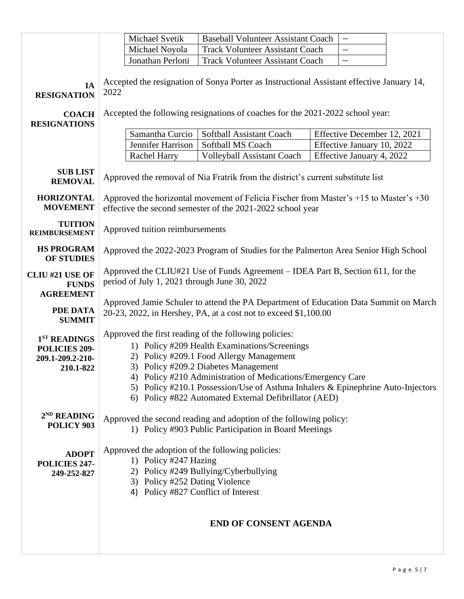|                                                                            |                                                                                                                                                                                    | Michael Svetik                                                                                 | <b>Baseball Volunteer Assistant Coach</b>                                                                                                                                                                                                                                                                                                                                                             | $\overline{\phantom{a}}$    |  |
|----------------------------------------------------------------------------|------------------------------------------------------------------------------------------------------------------------------------------------------------------------------------|------------------------------------------------------------------------------------------------|-------------------------------------------------------------------------------------------------------------------------------------------------------------------------------------------------------------------------------------------------------------------------------------------------------------------------------------------------------------------------------------------------------|-----------------------------|--|
|                                                                            |                                                                                                                                                                                    | Michael Noyola                                                                                 | <b>Track Volunteer Assistant Coach</b>                                                                                                                                                                                                                                                                                                                                                                | $-$                         |  |
|                                                                            |                                                                                                                                                                                    | Jonathan Perloni                                                                               | <b>Track Volunteer Assistant Coach</b>                                                                                                                                                                                                                                                                                                                                                                |                             |  |
| IA<br><b>RESIGNATION</b><br><b>COACH</b>                                   | Accepted the resignation of Sonya Porter as Instructional Assistant effective January 14,<br>2022<br>Accepted the following resignations of coaches for the 2021-2022 school year: |                                                                                                |                                                                                                                                                                                                                                                                                                                                                                                                       |                             |  |
| <b>RESIGNATIONS</b>                                                        |                                                                                                                                                                                    |                                                                                                |                                                                                                                                                                                                                                                                                                                                                                                                       |                             |  |
|                                                                            |                                                                                                                                                                                    | Samantha Curcio                                                                                | Softball Assistant Coach                                                                                                                                                                                                                                                                                                                                                                              | Effective December 12, 2021 |  |
|                                                                            |                                                                                                                                                                                    | Jennifer Harrison                                                                              | Softball MS Coach                                                                                                                                                                                                                                                                                                                                                                                     | Effective January 10, 2022  |  |
|                                                                            |                                                                                                                                                                                    | <b>Rachel Harry</b>                                                                            | <b>Volleyball Assistant Coach</b>                                                                                                                                                                                                                                                                                                                                                                     | Effective January 4, 2022   |  |
| <b>SUB LIST</b><br><b>REMOVAL</b>                                          | Approved the removal of Nia Fratrik from the district's current substitute list                                                                                                    |                                                                                                |                                                                                                                                                                                                                                                                                                                                                                                                       |                             |  |
| <b>HORIZONTAL</b><br><b>MOVEMENT</b>                                       | Approved the horizontal movement of Felicia Fischer from Master's $+15$ to Master's $+30$<br>effective the second semester of the 2021-2022 school year                            |                                                                                                |                                                                                                                                                                                                                                                                                                                                                                                                       |                             |  |
| <b>TUITION</b><br><b>REIMBURSEMENT</b>                                     | Approved tuition reimbursements                                                                                                                                                    |                                                                                                |                                                                                                                                                                                                                                                                                                                                                                                                       |                             |  |
| <b>HS PROGRAM</b><br><b>OF STUDIES</b>                                     | Approved the 2022-2023 Program of Studies for the Palmerton Area Senior High School                                                                                                |                                                                                                |                                                                                                                                                                                                                                                                                                                                                                                                       |                             |  |
| <b>CLIU #21 USE OF</b><br><b>FUNDS</b><br><b>AGREEMENT</b>                 | Approved the CLIU#21 Use of Funds Agreement – IDEA Part B, Section 611, for the<br>period of July 1, 2021 through June 30, 2022                                                    |                                                                                                |                                                                                                                                                                                                                                                                                                                                                                                                       |                             |  |
| <b>PDE DATA</b><br><b>SUMMIT</b>                                           | Approved Jamie Schuler to attend the PA Department of Education Data Summit on March<br>20-23, 2022, in Hershey, PA, at a cost not to exceed \$1,100.00                            |                                                                                                |                                                                                                                                                                                                                                                                                                                                                                                                       |                             |  |
| 1 <sup>ST</sup> READINGS<br>POLICIES 209-<br>209.1-209.2-210-<br>210.1-822 |                                                                                                                                                                                    |                                                                                                | Approved the first reading of the following policies:<br>1) Policy #209 Health Examinations/Screenings<br>2) Policy #209.1 Food Allergy Management<br>3) Policy #209.2 Diabetes Management<br>4) Policy #210 Administration of Medications/Emergency Care<br>5) Policy #210.1 Possession/Use of Asthma Inhalers & Epinephrine Auto-Injectors<br>6) Policy #822 Automated External Defibrillator (AED) |                             |  |
| 2 <sup>ND</sup> READING<br>POLICY 903                                      |                                                                                                                                                                                    |                                                                                                | Approved the second reading and adoption of the following policy:<br>1) Policy #903 Public Participation in Board Meetings                                                                                                                                                                                                                                                                            |                             |  |
| <b>ADOPT</b><br>POLICIES 247-<br>249-252-827                               |                                                                                                                                                                                    | 1) Policy #247 Hazing<br>3) Policy #252 Dating Violence<br>4) Policy #827 Conflict of Interest | Approved the adoption of the following policies:<br>2) Policy #249 Bullying/Cyberbullying                                                                                                                                                                                                                                                                                                             |                             |  |
|                                                                            |                                                                                                                                                                                    |                                                                                                | <b>END OF CONSENT AGENDA</b>                                                                                                                                                                                                                                                                                                                                                                          |                             |  |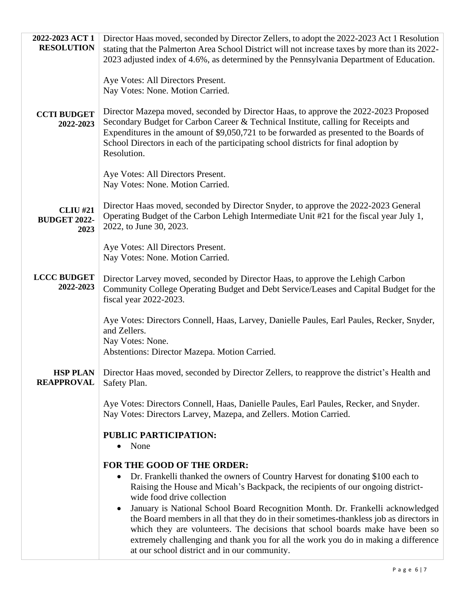| 2022-2023 ACT 1<br><b>RESOLUTION</b>           | Director Haas moved, seconded by Director Zellers, to adopt the 2022-2023 Act 1 Resolution<br>stating that the Palmerton Area School District will not increase taxes by more than its 2022-                                                                                                                                                                                                         |
|------------------------------------------------|------------------------------------------------------------------------------------------------------------------------------------------------------------------------------------------------------------------------------------------------------------------------------------------------------------------------------------------------------------------------------------------------------|
|                                                | 2023 adjusted index of 4.6%, as determined by the Pennsylvania Department of Education.                                                                                                                                                                                                                                                                                                              |
|                                                | Aye Votes: All Directors Present.<br>Nay Votes: None. Motion Carried.                                                                                                                                                                                                                                                                                                                                |
| <b>CCTI BUDGET</b><br>2022-2023                | Director Mazepa moved, seconded by Director Haas, to approve the 2022-2023 Proposed<br>Secondary Budget for Carbon Career & Technical Institute, calling for Receipts and<br>Expenditures in the amount of \$9,050,721 to be forwarded as presented to the Boards of<br>School Directors in each of the participating school districts for final adoption by<br>Resolution.                          |
|                                                | Aye Votes: All Directors Present.<br>Nay Votes: None. Motion Carried.                                                                                                                                                                                                                                                                                                                                |
| <b>CLIU #21</b><br><b>BUDGET 2022-</b><br>2023 | Director Haas moved, seconded by Director Snyder, to approve the 2022-2023 General<br>Operating Budget of the Carbon Lehigh Intermediate Unit #21 for the fiscal year July 1,<br>2022, to June 30, 2023.                                                                                                                                                                                             |
|                                                | Aye Votes: All Directors Present.<br>Nay Votes: None. Motion Carried.                                                                                                                                                                                                                                                                                                                                |
| <b>LCCC BUDGET</b><br>2022-2023                | Director Larvey moved, seconded by Director Haas, to approve the Lehigh Carbon<br>Community College Operating Budget and Debt Service/Leases and Capital Budget for the<br>fiscal year 2022-2023.                                                                                                                                                                                                    |
|                                                | Aye Votes: Directors Connell, Haas, Larvey, Danielle Paules, Earl Paules, Recker, Snyder,<br>and Zellers.<br>Nay Votes: None.<br>Abstentions: Director Mazepa. Motion Carried.                                                                                                                                                                                                                       |
| <b>HSP PLAN</b><br><b>REAPPROVAL</b>           | Director Haas moved, seconded by Director Zellers, to reapprove the district's Health and<br>Safety Plan.                                                                                                                                                                                                                                                                                            |
|                                                | Aye Votes: Directors Connell, Haas, Danielle Paules, Earl Paules, Recker, and Snyder.<br>Nay Votes: Directors Larvey, Mazepa, and Zellers. Motion Carried.                                                                                                                                                                                                                                           |
|                                                | <b>PUBLIC PARTICIPATION:</b><br>None<br>$\bullet$                                                                                                                                                                                                                                                                                                                                                    |
|                                                | FOR THE GOOD OF THE ORDER:                                                                                                                                                                                                                                                                                                                                                                           |
|                                                | Dr. Frankelli thanked the owners of Country Harvest for donating \$100 each to<br>$\bullet$<br>Raising the House and Micah's Backpack, the recipients of our ongoing district-<br>wide food drive collection                                                                                                                                                                                         |
|                                                | January is National School Board Recognition Month. Dr. Frankelli acknowledged<br>٠<br>the Board members in all that they do in their sometimes-thankless job as directors in<br>which they are volunteers. The decisions that school boards make have been so<br>extremely challenging and thank you for all the work you do in making a difference<br>at our school district and in our community. |